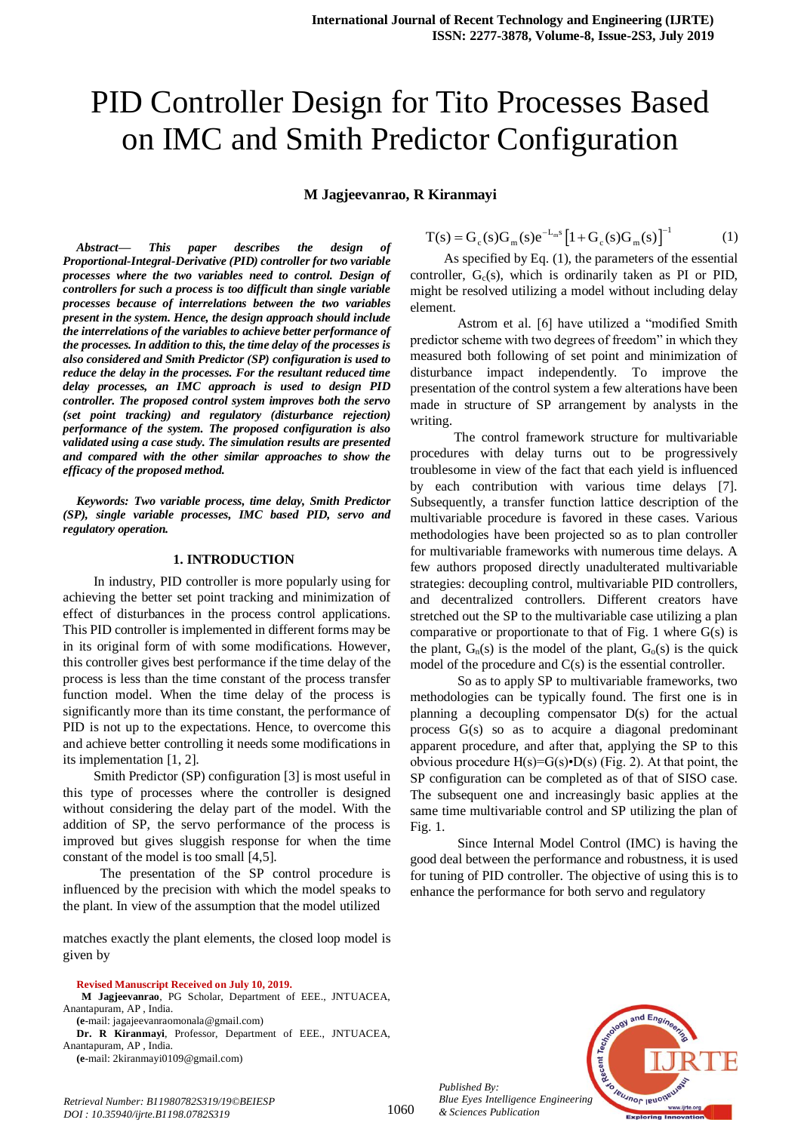# PID Controller Design for Tito Processes Based on IMC and Smith Predictor Configuration

**M Jagjeevanrao, R Kiranmayi**

*Abstract***—** *This paper describes the design of Proportional-Integral-Derivative (PID) controller for two variable processes where the two variables need to control. Design of controllers for such a process is too difficult than single variable processes because of interrelations between the two variables present in the system. Hence, the design approach should include the interrelations of the variables to achieve better performance of the processes. In addition to this, the time delay of the processes is also considered and Smith Predictor (SP) configuration is used to reduce the delay in the processes. For the resultant reduced time delay processes, an IMC approach is used to design PID controller. The proposed control system improves both the servo (set point tracking) and regulatory (disturbance rejection) performance of the system. The proposed configuration is also validated using a case study. The simulation results are presented and compared with the other similar approaches to show the efficacy of the proposed method.*

*Keywords: Two variable process, time delay, Smith Predictor (SP), single variable processes, IMC based PID, servo and regulatory operation.*

#### **1. INTRODUCTION**

 In industry, PID controller is more popularly using for achieving the better set point tracking and minimization of effect of disturbances in the process control applications. This PID controller is implemented in different forms may be in its original form of with some modifications. However, this controller gives best performance if the time delay of the process is less than the time constant of the process transfer function model. When the time delay of the process is significantly more than its time constant, the performance of PID is not up to the expectations. Hence, to overcome this and achieve better controlling it needs some modifications in its implementation [1, 2].

 Smith Predictor (SP) configuration [3] is most useful in this type of processes where the controller is designed without considering the delay part of the model. With the addition of SP, the servo performance of the process is improved but gives sluggish response for when the time constant of the model is too small [4,5].

 The presentation of the SP control procedure is influenced by the precision with which the model speaks to the plant. In view of the assumption that the model utilized

matches exactly the plant elements, the closed loop model is given by

#### **Revised Manuscript Received on July 10, 2019.**

**M Jagjeevanrao**, PG Scholar, Department of EEE., JNTUACEA, Anantapuram, AP , India.

**(e**-mail: jagajeevanraomonala@gmail.com)

*Retrieval Number: B11980782S319/19©BEIESP DOI : 10.35940/ijrte.B1198.0782S319*

**Dr. R Kiranmayi**, Professor, Department of EEE., JNTUACEA, Anantapuram, AP , India.

**(e**-mail: 2kiranmayi0109@gmail.com)

$$
T(s) = G_c(s)G_m(s)e^{-L_m s} [1 + G_c(s)G_m(s)]^{-1}
$$
 (1)

 As specified by Eq. (1), the parameters of the essential controller,  $G<sub>c</sub>(s)$ , which is ordinarily taken as PI or PID, might be resolved utilizing a model without including delay element.

 Astrom et al. [6] have utilized a "modified Smith predictor scheme with two degrees of freedom" in which they measured both following of set point and minimization of disturbance impact independently. To improve the presentation of the control system a few alterations have been made in structure of SP arrangement by analysts in the writing.

 The control framework structure for multivariable procedures with delay turns out to be progressively troublesome in view of the fact that each yield is influenced by each contribution with various time delays [7]. Subsequently, a transfer function lattice description of the multivariable procedure is favored in these cases. Various methodologies have been projected so as to plan controller for multivariable frameworks with numerous time delays. A few authors proposed directly unadulterated multivariable strategies: decoupling control, multivariable PID controllers, and decentralized controllers. Different creators have stretched out the SP to the multivariable case utilizing a plan comparative or proportionate to that of Fig. 1 where  $G(s)$  is the plant,  $G_n(s)$  is the model of the plant,  $G_0(s)$  is the quick model of the procedure and C(s) is the essential controller.

 So as to apply SP to multivariable frameworks, two methodologies can be typically found. The first one is in planning a decoupling compensator D(s) for the actual process G(s) so as to acquire a diagonal predominant apparent procedure, and after that, applying the SP to this obvious procedure  $H(s)=G(s)\cdot D(s)$  (Fig. 2). At that point, the SP configuration can be completed as of that of SISO case. The subsequent one and increasingly basic applies at the same time multivariable control and SP utilizing the plan of Fig. 1.

 Since Internal Model Control (IMC) is having the good deal between the performance and robustness, it is used for tuning of PID controller. The objective of using this is to enhance the performance for both servo and regulatory



*Published By: Blue Eyes Intelligence Engineering & Sciences Publication*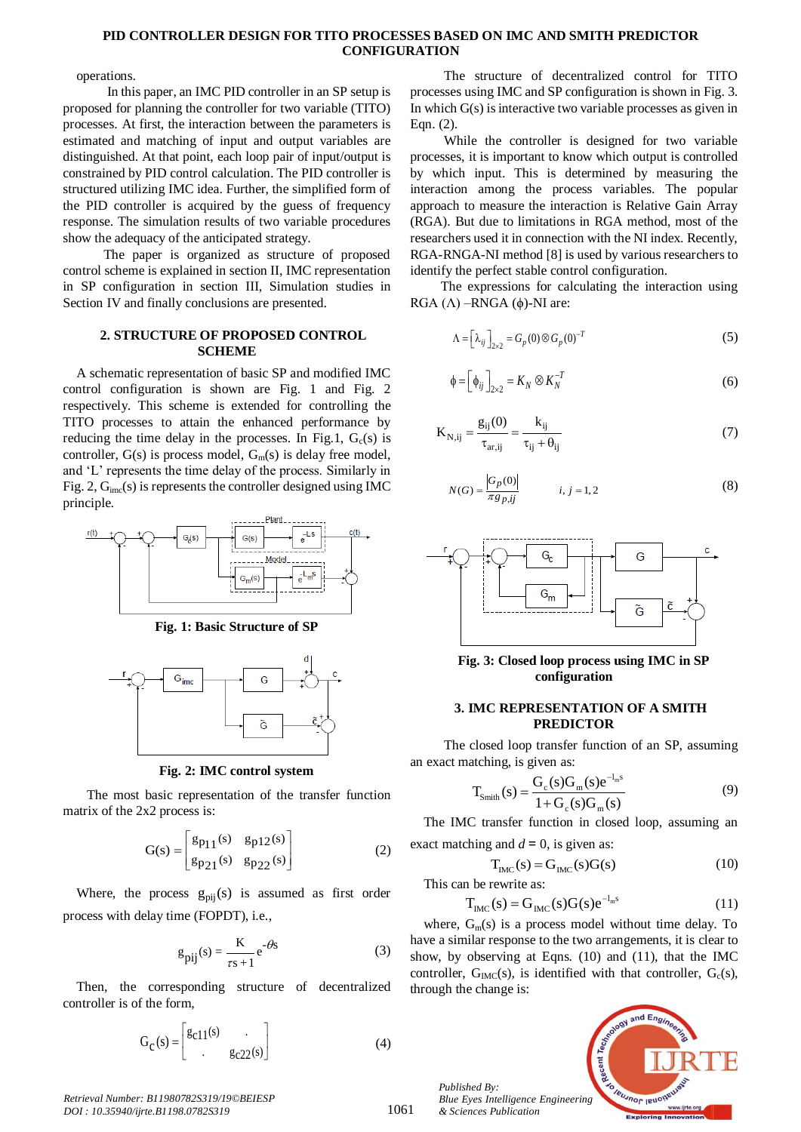# **PID CONTROLLER DESIGN FOR TITO PROCESSES BASED ON IMC AND SMITH PREDICTOR CONFIGURATION**

operations.

 In this paper, an IMC PID controller in an SP setup is proposed for planning the controller for two variable (TITO) processes. At first, the interaction between the parameters is estimated and matching of input and output variables are distinguished. At that point, each loop pair of input/output is constrained by PID control calculation. The PID controller is structured utilizing IMC idea. Further, the simplified form of the PID controller is acquired by the guess of frequency response. The simulation results of two variable procedures show the adequacy of the anticipated strategy.

 The paper is organized as structure of proposed control scheme is explained in section II, IMC representation in SP configuration in section III, Simulation studies in Section IV and finally conclusions are presented.

#### **2. STRUCTURE OF PROPOSED CONTROL SCHEME**

A schematic representation of basic SP and modified IMC control configuration is shown are Fig. 1 and Fig. 2 respectively. This scheme is extended for controlling the TITO processes to attain the enhanced performance by reducing the time delay in the processes. In Fig.1,  $G_c(s)$  is controller,  $G(s)$  is process model,  $G_m(s)$  is delay free model, and 'L' represents the time delay of the process. Similarly in Fig. 2,  $G<sub>inc</sub>(s)$  is represents the controller designed using IMC principle.



**Fig. 1: Basic Structure of SP**



**Fig. 2: IMC control system**

 The most basic representation of the transfer function matrix of the 2x2 process is:

$$
G(s) = \begin{bmatrix} g_{p_11}(s) & g_{p_12}(s) \\ g_{p_21}(s) & g_{p_22}(s) \end{bmatrix}
$$
 (2)

Where, the process  $g_{pij}(s)$  is assumed as first order process with delay time (FOPDT), i.e.,

$$
g_{\text{pij}}(s) = \frac{K}{\tau s + 1} e^{-\theta s} \tag{3}
$$

Then, the corresponding structure of decentralized controller is of the form,

$$
G_C(s) = \begin{bmatrix} g_{C11}(s) & \cdot \\ \cdot & g_{C22}(s) \end{bmatrix} \tag{4}
$$

 The structure of decentralized control for TITO processes using IMC and SP configuration is shown in Fig. 3. In which G(s) is interactive two variable processes as given in Eqn. (2).

 While the controller is designed for two variable processes, it is important to know which output is controlled by which input. This is determined by measuring the interaction among the process variables. The popular approach to measure the interaction is Relative Gain Array (RGA). But due to limitations in RGA method, most of the researchers used it in connection with the NI index. Recently, RGA-RNGA-NI method [8] is used by various researchers to identify the perfect stable control configuration.

 The expressions for calculating the interaction using RGA  $($  $\Lambda$  $)$  –RNGA  $($  $\phi$  $)$ -NI are:

$$
\Lambda = \left[\lambda_{ij}\right]_{2\times 2} = G_p(0) \otimes G_p(0)^{-T}
$$
\n(5)

$$
\phi = \left[\phi_{ij}\right]_{2\times 2} = K_N \otimes K_N^{-T}
$$
\n(6)

$$
K_{N,ij} = \frac{g_{ij}(0)}{\tau_{ar,ij}} = \frac{k_{ij}}{\tau_{ij} + \theta_{ij}}
$$
(7)

$$
N(G) = \frac{|G_p(0)|}{\pi g_{p,ij}} \qquad i, j = 1, 2
$$
 (8)



**Fig. 3: Closed loop process using IMC in SP configuration**

# **3. IMC REPRESENTATION OF A SMITH PREDICTOR**

 The closed loop transfer function of an SP, assuming an exact matching, is given as:

$$
T_{Smith}(s) = \frac{G_c(s)G_m(s)e^{-l_m s}}{1+G_c(s)G_m(s)}
$$
(9)

The IMC transfer function in closed loop, assuming an

exact matching and 
$$
d = 0
$$
, is given as:  
\n
$$
T_{IMC}(s) = G_{IMC}(s)G(s)
$$
\n(10)

This can be rewrite as:

$$
T_{\text{IMC}}(s) = G_{\text{IMC}}(s)G(s)e^{-l_{\text{m}}s}
$$
\n(11)

where,  $G_m(s)$  is a process model without time delay. To have a similar response to the two arrangements, it is clear to show, by observing at Eqns. (10) and (11), that the IMC controller,  $G_{\text{IMC}}(s)$ , is identified with that controller,  $G_c(s)$ , through the change is:



*Published By: Blue Eyes Intelligence Engineering & Sciences Publication* 

1061

*Retrieval Number: B11980782S319/19©BEIESP DOI : 10.35940/ijrte.B1198.0782S319*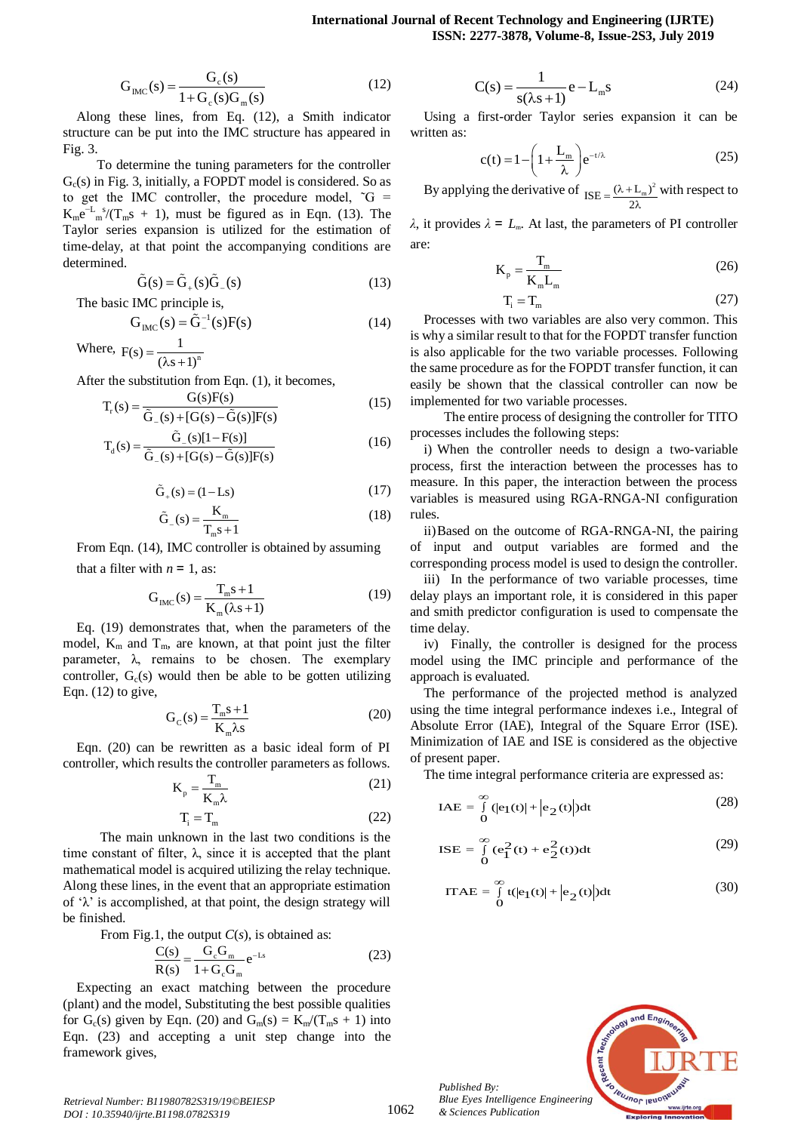$$
G_{\rm IMC}(s) = \frac{G_{\rm c}(s)}{1 + G_{\rm c}(s)G_{\rm m}(s)}
$$
(12)

Along these lines, from Eq. (12), a Smith indicator structure can be put into the IMC structure has appeared in Fig. 3.

 To determine the tuning parameters for the controller  $G<sub>c</sub>(s)$  in Fig. 3, initially, a FOPDT model is considered. So as to get the IMC controller, the procedure model,  $\tilde{G}$  =  $K_m e^{-L_m s} / (T_m s + 1)$ , must be figured as in Eqn. (13). The Taylor series expansion is utilized for the estimation of time-delay, at that point the accompanying conditions are determined.

$$
\tilde{G}(s) = \tilde{G}_{+}(s)\tilde{G}_{-}(s)
$$
\n(13)

The basic IMC principle is,

$$
G_{\text{IMC}}(s) = \tilde{G}_{-}^{-1}(s)F(s)
$$
 (14)

Where,  $F(s) = \frac{1}{(2s+1)^n}$  $F(s) = \frac{1}{(\lambda s + 1)}$ 

After the substitution from Eqn. (1), it becomes,

$$
T_r(s) = \frac{G(s)F(s)}{\tilde{G}_-(s) + [G(s) - \tilde{G}(s)]F(s)}
$$
(15)

$$
T_{d}(s) = \frac{\tilde{G}_{(s)}[1 - F(s)]}{\tilde{G}_{(s)} + [G(s) - \tilde{G}(s)]F(s)}
$$
(16)

$$
\tilde{G}_{+}(s) = (1 - Ls)
$$
 (17)

$$
\tilde{G}_{-}(s) = \frac{K_{m}}{T_{m}s + 1}
$$
\n(18)

From Eqn. (14), IMC controller is obtained by assuming that a filter with  $n = 1$ , as:

$$
G_{\rm IMC}(s) = \frac{T_{\rm m}s + 1}{K_{\rm m}(\lambda s + 1)}
$$
(19)

Eq. (19) demonstrates that, when the parameters of the model,  $K_m$  and  $T_m$ , are known, at that point just the filter parameter,  $\lambda$ , remains to be chosen. The exemplary controller,  $G_c(s)$  would then be able to be gotten utilizing Eqn.  $(12)$  to give,

$$
G_C(s) = \frac{T_m s + 1}{K_m \lambda s}
$$
 (20)

Eqn. (20) can be rewritten as a basic ideal form of PI controller, which results the controller parameters as follows.

$$
K_p = \frac{T_m}{K_m \lambda} \tag{21}
$$

$$
T_i = T_m \tag{22}
$$

 The main unknown in the last two conditions is the time constant of filter,  $\lambda$ , since it is accepted that the plant mathematical model is acquired utilizing the relay technique. Along these lines, in the event that an appropriate estimation of  $\lambda$  is accomplished, at that point, the design strategy will be finished.

From Fig.1, the output *C*(*s*), is obtained as:

$$
\frac{C(s)}{R(s)} = \frac{G_c G_m}{1 + G_c G_m} e^{-Ls}
$$
\n(23)

Expecting an exact matching between the procedure (plant) and the model, Substituting the best possible qualities for  $G_c(s)$  given by Eqn. (20) and  $G_m(s) = K_m/(T_m s + 1)$  into Eqn. (23) and accepting a unit step change into the framework gives,

$$
C(s) = \frac{1}{s(\lambda s + 1)} e - L_m s
$$
 (24)

Using a first-order Taylor series expansion it can be written as:

$$
c(t) = 1 - \left(1 + \frac{L_m}{\lambda}\right) e^{-t/\lambda}
$$
 (25)

By applying the derivative of  $_{\text{ISE}} = \frac{(\lambda + L_m)^2}{2\lambda}$  $=\frac{(\lambda + L_1)}{2\lambda}$ with respect to

*λ*, it provides  $λ = L_m$ . At last, the parameters of PI controller are:

$$
K_p = \frac{T_m}{K_m L_m}
$$
 (26)

$$
T_i = T_m \tag{27}
$$

Processes with two variables are also very common. This is why a similar result to that for the FOPDT transfer function is also applicable for the two variable processes. Following the same procedure as for the FOPDT transfer function, it can easily be shown that the classical controller can now be implemented for two variable processes.

 The entire process of designing the controller for TITO processes includes the following steps:

i) When the controller needs to design a two-variable process, first the interaction between the processes has to measure. In this paper, the interaction between the process variables is measured using RGA-RNGA-NI configuration rules.

ii)Based on the outcome of RGA-RNGA-NI, the pairing of input and output variables are formed and the corresponding process model is used to design the controller.

iii) In the performance of two variable processes, time delay plays an important role, it is considered in this paper and smith predictor configuration is used to compensate the time delay.

iv) Finally, the controller is designed for the process model using the IMC principle and performance of the approach is evaluated.

The performance of the projected method is analyzed using the time integral performance indexes i.e., Integral of Absolute Error (IAE), Integral of the Square Error (ISE). Minimization of IAE and ISE is considered as the objective of present paper.

The time integral performance criteria are expressed as:

$$
IAE = \int_{0}^{\infty} (|e_1(t)| + |e_2(t)|) dt
$$
 (28)

$$
ISE = \int_{0}^{\infty} (e_1^2(t) + e_2^2(t))dt
$$
 (29)

$$
ITAE = \int_{0}^{\infty} t(|e_1(t)| + |e_2(t)|)dt
$$
 (30)



*Retrieval Number: B11980782S319/19©BEIESP DOI : 10.35940/ijrte.B1198.0782S319*

*Published By:*

*& Sciences Publication*